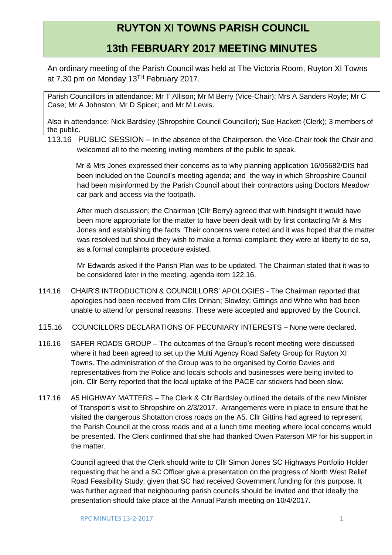## **RUYTON XI TOWNS PARISH COUNCIL**

## **13th FEBRUARY 2017 MEETING MINUTES**

An ordinary meeting of the Parish Council was held at The Victoria Room, Ruyton XI Towns at 7.30 pm on Monday 13TH February 2017.

Parish Councillors in attendance: Mr T Allison; Mr M Berry (Vice-Chair); Mrs A Sanders Royle; Mr C Case; Mr A Johnston; Mr D Spicer; and Mr M Lewis.

Also in attendance: Nick Bardsley (Shropshire Council Councillor); Sue Hackett (Clerk); 3 members of the public.

113.16 PUBLIC SESSION – In the absence of the Chairperson, the Vice-Chair took the Chair and welcomed all to the meeting inviting members of the public to speak.

 Mr & Mrs Jones expressed their concerns as to why planning application 16/05682/DIS had been included on the Council's meeting agenda; and the way in which Shropshire Council had been misinformed by the Parish Council about their contractors using Doctors Meadow car park and access via the footpath.

After much discussion; the Chairman (Cllr Berry) agreed that with hindsight it would have been more appropriate for the matter to have been dealt with by first contacting Mr & Mrs Jones and establishing the facts. Their concerns were noted and it was hoped that the matter was resolved but should they wish to make a formal complaint; they were at liberty to do so, as a formal complaints procedure existed.

Mr Edwards asked if the Parish Plan was to be updated. The Chairman stated that it was to be considered later in the meeting, agenda item 122.16.

- 114.16 CHAIR'S INTRODUCTION & COUNCILLORS' APOLOGIES The Chairman reported that apologies had been received from Cllrs Drinan; Slowley; Gittings and White who had been unable to attend for personal reasons. These were accepted and approved by the Council.
- 115.16 COUNCILLORS DECLARATIONS OF PECUNIARY INTERESTS None were declared.
- 116.16 SAFER ROADS GROUP The outcomes of the Group's recent meeting were discussed where it had been agreed to set up the Multi Agency Road Safety Group for Ruyton XI Towns. The administration of the Group was to be organised by Corrie Davies and representatives from the Police and locals schools and businesses were being invited to join. Cllr Berry reported that the local uptake of the PACE car stickers had been slow.
- 117.16 A5 HIGHWAY MATTERS The Clerk & Cllr Bardsley outlined the details of the new Minister of Transport's visit to Shropshire on 2/3/2017. Arrangements were in place to ensure that he visited the dangerous Shotatton cross roads on the A5. Cllr Gittins had agreed to represent the Parish Council at the cross roads and at a lunch time meeting where local concerns would be presented. The Clerk confirmed that she had thanked Owen Paterson MP for his support in the matter.

Council agreed that the Clerk should write to Cllr Simon Jones SC Highways Portfolio Holder requesting that he and a SC Officer give a presentation on the progress of North West Relief Road Feasibility Study; given that SC had received Government funding for this purpose. It was further agreed that neighbouring parish councils should be invited and that ideally the presentation should take place at the Annual Parish meeting on 10/4/2017.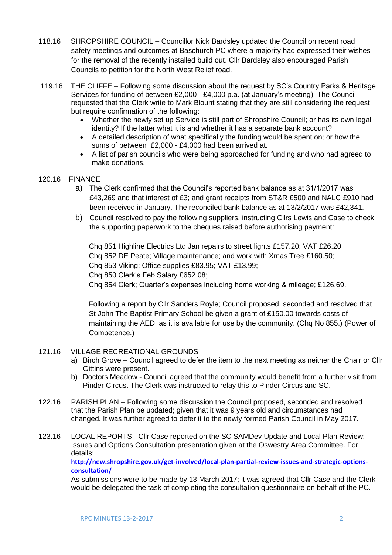- 118.16 SHROPSHIRE COUNCIL Councillor Nick Bardsley updated the Council on recent road safety meetings and outcomes at Baschurch PC where a majority had expressed their wishes for the removal of the recently installed build out. Cllr Bardsley also encouraged Parish Councils to petition for the North West Relief road.
- 119.16 THE CLIFFE Following some discussion about the request by SC's Country Parks & Heritage Services for funding of between £2,000 - £4,000 p.a. (at January's meeting). The Council requested that the Clerk write to Mark Blount stating that they are still considering the request but require confirmation of the following:
	- Whether the newly set up Service is still part of Shropshire Council: or has its own legal identity? If the latter what it is and whether it has a separate bank account?
	- A detailed description of what specifically the funding would be spent on; or how the sums of between £2,000 - £4,000 had been arrived at.
	- A list of parish councils who were being approached for funding and who had agreed to make donations.

## 120.16 FINANCE

- a) The Clerk confirmed that the Council's reported bank balance as at 31/1/2017 was £43,269 and that interest of £3; and grant receipts from ST&R £500 and NALC £910 had been received in January. The reconciled bank balance as at 13/2/2017 was £42,341.
- b) Council resolved to pay the following suppliers, instructing Cllrs Lewis and Case to check the supporting paperwork to the cheques raised before authorising payment:

Chq 851 Highline Electrics Ltd Jan repairs to street lights £157.20; VAT £26.20; Chq 852 DE Peate; Village maintenance; and work with Xmas Tree £160.50; Chq 853 Viking; Office supplies £83.95; VAT £13.99; Chq 850 Clerk's Feb Salary £652.08; Chq 854 Clerk; Quarter's expenses including home working & mileage; £126.69.

Following a report by Cllr Sanders Royle; Council proposed, seconded and resolved that St John The Baptist Primary School be given a grant of £150.00 towards costs of maintaining the AED; as it is available for use by the community. (Chq No 855.) (Power of Competence.)

## 121.16 VILLAGE RECREATIONAL GROUNDS

- a) Birch Grove Council agreed to defer the item to the next meeting as neither the Chair or Cllr Gittins were present.
- b) Doctors Meadow Council agreed that the community would benefit from a further visit from Pinder Circus. The Clerk was instructed to relay this to Pinder Circus and SC.
- 122.16 PARISH PLAN Following some discussion the Council proposed, seconded and resolved that the Parish Plan be updated; given that it was 9 years old and circumstances had changed. It was further agreed to defer it to the newly formed Parish Council in May 2017.
- 123.16 LOCAL REPORTS Cllr Case reported on the SC SAMDev Update and Local Plan Review: Issues and Options Consultation presentation given at the Oswestry Area Committee. For details: **[http://new.shropshire.gov.uk/get-involved/local-plan-partial-review-issues-and-strategic-options-](http://new.shropshire.gov.uk/get-involved/local-plan-partial-review-issues-and-strategic-options-consultation/)**

**[consultation/](http://new.shropshire.gov.uk/get-involved/local-plan-partial-review-issues-and-strategic-options-consultation/)**

As submissions were to be made by 13 March 2017; it was agreed that Cllr Case and the Clerk would be delegated the task of completing the consultation questionnaire on behalf of the PC.